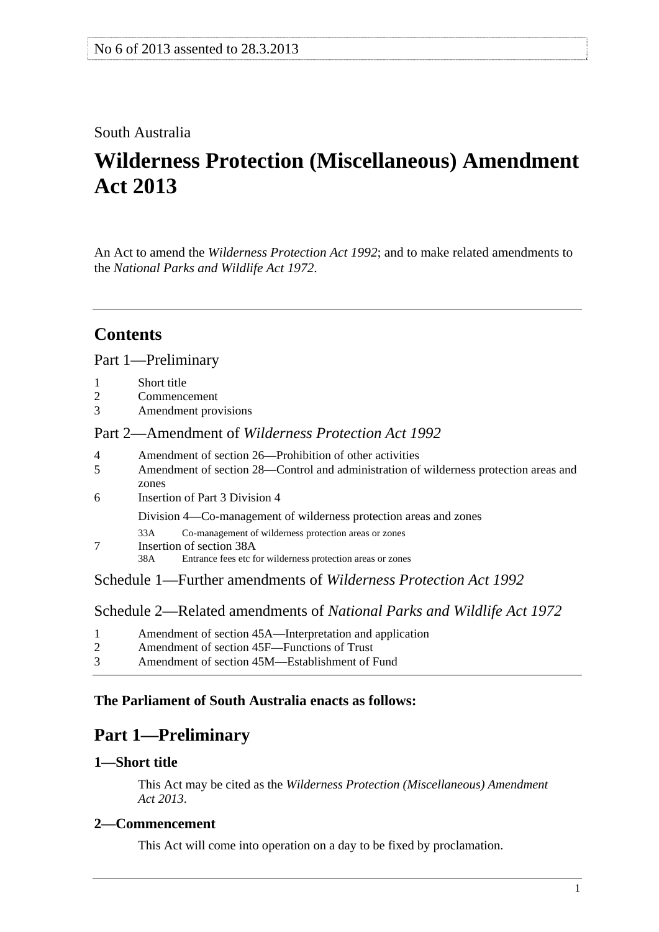# <span id="page-0-0"></span>South Australia

# **Wilderness Protection (Miscellaneous) Amendment Act 2013**

An Act to amend the *[Wilderness Protection Act 1992](http://www.legislation.sa.gov.au/index.aspx?action=legref&type=act&legtitle=Wilderness%20Protection%20Act%201992)*; and to make related amendments to the *[National Parks and Wildlife Act 1972](http://www.legislation.sa.gov.au/index.aspx?action=legref&type=act&legtitle=National%20Parks%20and%20Wildlife%20Act%201972)*.

# **Contents**

#### [Part 1—Preliminary](#page-0-0)

- [1 Short title](#page-0-0)
- [2 Commencement](#page-0-0)
- [3 Amendment provisions](#page-1-0)

# Part 2—Amendment of *[Wilderness Protection Act 1992](#page-1-0)*

- [4 Amendment of section 26—Prohibition of other activities](#page-1-0)
- [5 Amendment of section 28—Control and administration of wilderness protection areas and](#page-1-0)  [zones](#page-1-0)
- [6 Insertion of Part 3 Division 4](#page-2-0)

[Division 4—Co-management of wilderness protection areas and zones](#page-0-0)

- [33A Co-management of wilderness protection areas or zones](#page-0-0)
- [7 Insertion of section 38A](#page-6-0)

[38A Entrance fees etc for wilderness protection areas or zones](#page-0-0) 

[Schedule 1—Further amendments of](#page-6-0) *Wilderness Protection Act 1992*

[Schedule 2—Related amendments of](#page-7-0) *National Parks and Wildlife Act 1972*

| Amendment of section 45A—Interpretation and application |
|---------------------------------------------------------|
|---------------------------------------------------------|

- [2 Amendment of section 45F—Functions of Trust](#page-7-0)
- [3 Amendment of section 45M—Establishment of Fund](#page-7-0)

# **The Parliament of South Australia enacts as follows:**

# **Part 1—Preliminary**

# **1—Short title**

This Act may be cited as the *Wilderness Protection (Miscellaneous) Amendment Act 2013*.

# **2—Commencement**

This Act will come into operation on a day to be fixed by proclamation.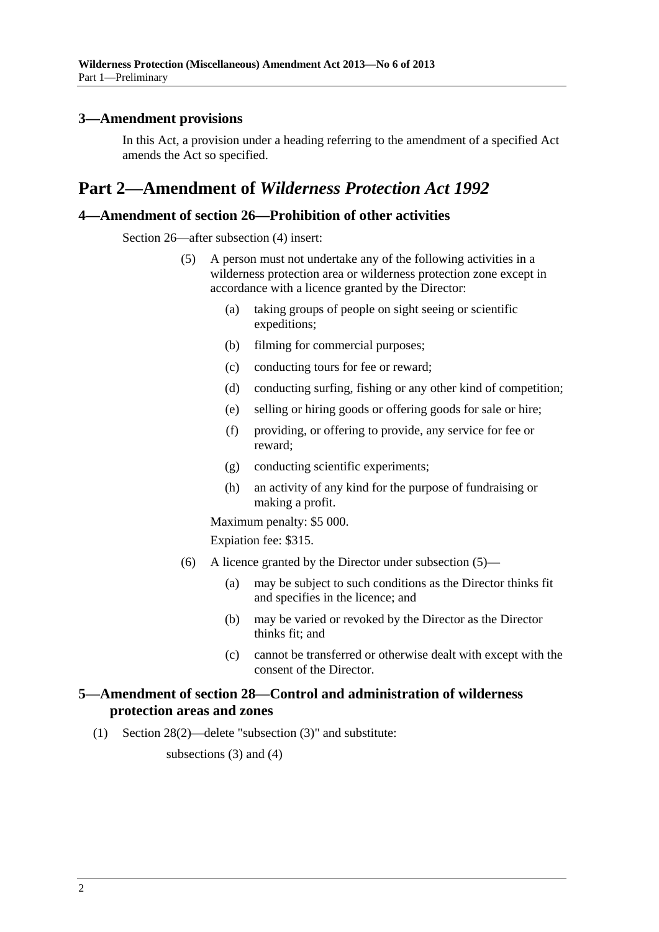### <span id="page-1-0"></span>**3—Amendment provisions**

In this Act, a provision under a heading referring to the amendment of a specified Act amends the Act so specified.

# **Part 2—Amendment of** *Wilderness Protection Act 1992*

# **4—Amendment of section 26—Prohibition of other activities**

Section 26—after subsection (4) insert:

- (5) A person must not undertake any of the following activities in a wilderness protection area or wilderness protection zone except in accordance with a licence granted by the Director:
	- (a) taking groups of people on sight seeing or scientific expeditions;
	- (b) filming for commercial purposes;
	- (c) conducting tours for fee or reward;
	- (d) conducting surfing, fishing or any other kind of competition;
	- (e) selling or hiring goods or offering goods for sale or hire;
	- (f) providing, or offering to provide, any service for fee or reward;
	- (g) conducting scientific experiments;
	- (h) an activity of any kind for the purpose of fundraising or making a profit.

Maximum penalty: \$5 000.

Expiation fee: \$315.

- (6) A licence granted by the Director under [subsection \(5\)](#page-1-0)
	- (a) may be subject to such conditions as the Director thinks fit and specifies in the licence; and
	- (b) may be varied or revoked by the Director as the Director thinks fit; and
	- (c) cannot be transferred or otherwise dealt with except with the consent of the Director.

#### **5—Amendment of section 28—Control and administration of wilderness protection areas and zones**

(1) Section 28(2)—delete "subsection (3)" and substitute:

subsections  $(3)$  and  $(4)$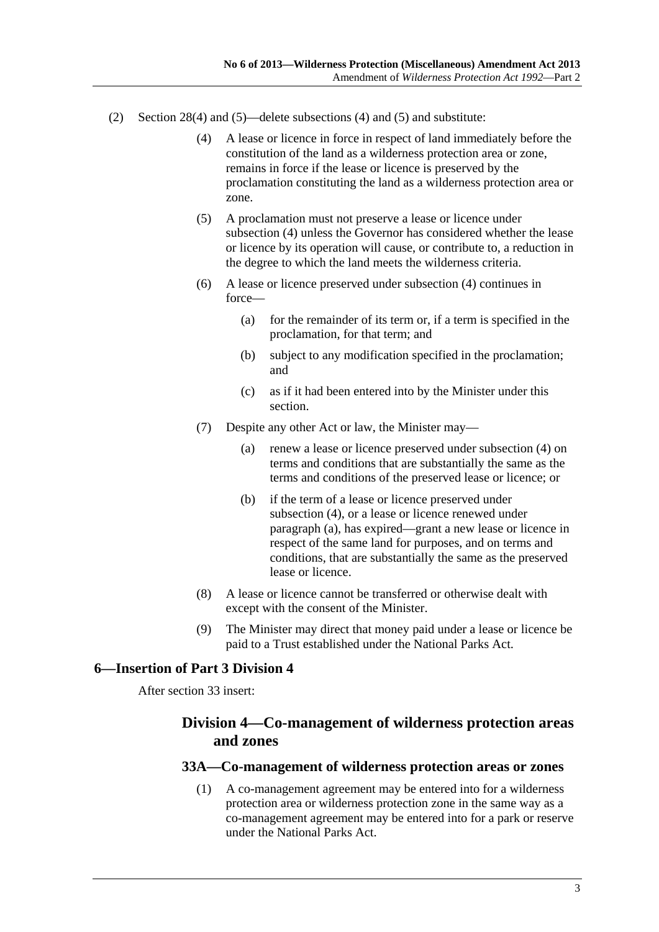- <span id="page-2-0"></span> (2) Section 28(4) and (5)—delete subsections (4) and (5) and substitute:
	- (4) A lease or licence in force in respect of land immediately before the constitution of the land as a wilderness protection area or zone, remains in force if the lease or licence is preserved by the proclamation constituting the land as a wilderness protection area or zone.
	- (5) A proclamation must not preserve a lease or licence under [subsection \(4\)](#page-2-0) unless the Governor has considered whether the lease or licence by its operation will cause, or contribute to, a reduction in the degree to which the land meets the wilderness criteria.
	- (6) A lease or licence preserved under [subsection \(4\)](#page-2-0) continues in force—
		- (a) for the remainder of its term or, if a term is specified in the proclamation, for that term; and
		- (b) subject to any modification specified in the proclamation; and
		- (c) as if it had been entered into by the Minister under this section.
	- (7) Despite any other Act or law, the Minister may—
		- (a) renew a lease or licence preserved under [subsection \(4\)](#page-2-0) on terms and conditions that are substantially the same as the terms and conditions of the preserved lease or licence; or
		- (b) if the term of a lease or licence preserved under [subsection \(4\),](#page-2-0) or a lease or licence renewed under [paragraph \(a\),](#page-2-0) has expired—grant a new lease or licence in respect of the same land for purposes, and on terms and conditions, that are substantially the same as the preserved lease or licence.
	- (8) A lease or licence cannot be transferred or otherwise dealt with except with the consent of the Minister.
	- (9) The Minister may direct that money paid under a lease or licence be paid to a Trust established under the National Parks Act.

#### **6—Insertion of Part 3 Division 4**

After section 33 insert:

# **Division 4—Co-management of wilderness protection areas and zones**

#### **33A—Co-management of wilderness protection areas or zones**

 (1) A co-management agreement may be entered into for a wilderness protection area or wilderness protection zone in the same way as a co-management agreement may be entered into for a park or reserve under the National Parks Act.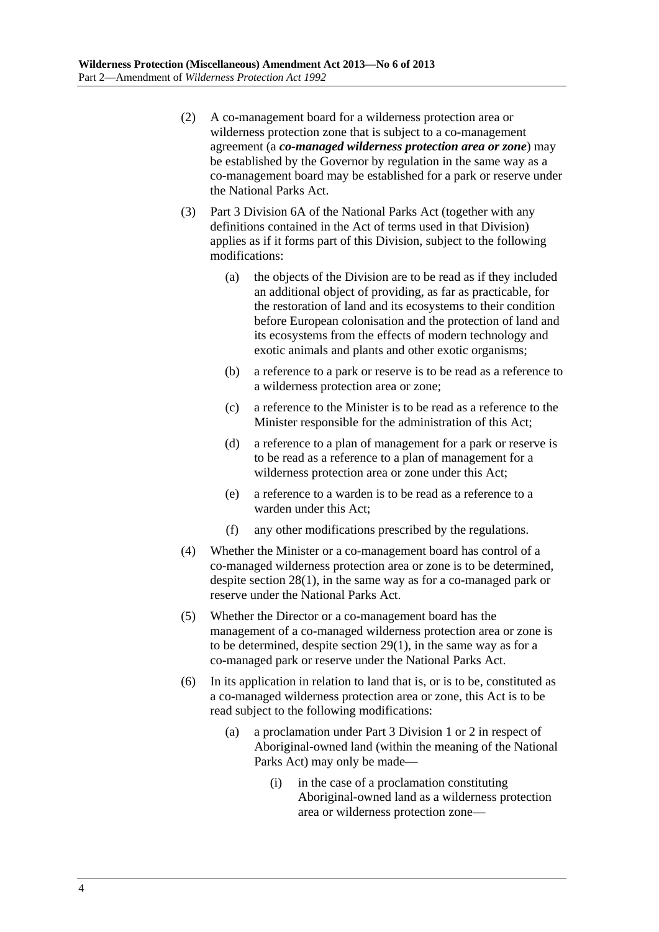- (2) A co-management board for a wilderness protection area or wilderness protection zone that is subject to a co-management agreement (a *co-managed wilderness protection area or zone*) may be established by the Governor by regulation in the same way as a co-management board may be established for a park or reserve under the National Parks Act.
- (3) Part 3 Division 6A of the National Parks Act (together with any definitions contained in the Act of terms used in that Division) applies as if it forms part of this Division, subject to the following modifications:
	- (a) the objects of the Division are to be read as if they included an additional object of providing, as far as practicable, for the restoration of land and its ecosystems to their condition before European colonisation and the protection of land and its ecosystems from the effects of modern technology and exotic animals and plants and other exotic organisms;
	- (b) a reference to a park or reserve is to be read as a reference to a wilderness protection area or zone;
	- (c) a reference to the Minister is to be read as a reference to the Minister responsible for the administration of this Act;
	- (d) a reference to a plan of management for a park or reserve is to be read as a reference to a plan of management for a wilderness protection area or zone under this Act;
	- (e) a reference to a warden is to be read as a reference to a warden under this Act;
	- (f) any other modifications prescribed by the regulations.
- (4) Whether the Minister or a co-management board has control of a co-managed wilderness protection area or zone is to be determined, despite section 28(1), in the same way as for a co-managed park or reserve under the National Parks Act.
- (5) Whether the Director or a co-management board has the management of a co-managed wilderness protection area or zone is to be determined, despite section 29(1), in the same way as for a co-managed park or reserve under the National Parks Act.
- (6) In its application in relation to land that is, or is to be, constituted as a co-managed wilderness protection area or zone, this Act is to be read subject to the following modifications:
	- (a) a proclamation under Part 3 Division 1 or 2 in respect of Aboriginal-owned land (within the meaning of the National Parks Act) may only be made—
		- (i) in the case of a proclamation constituting Aboriginal-owned land as a wilderness protection area or wilderness protection zone—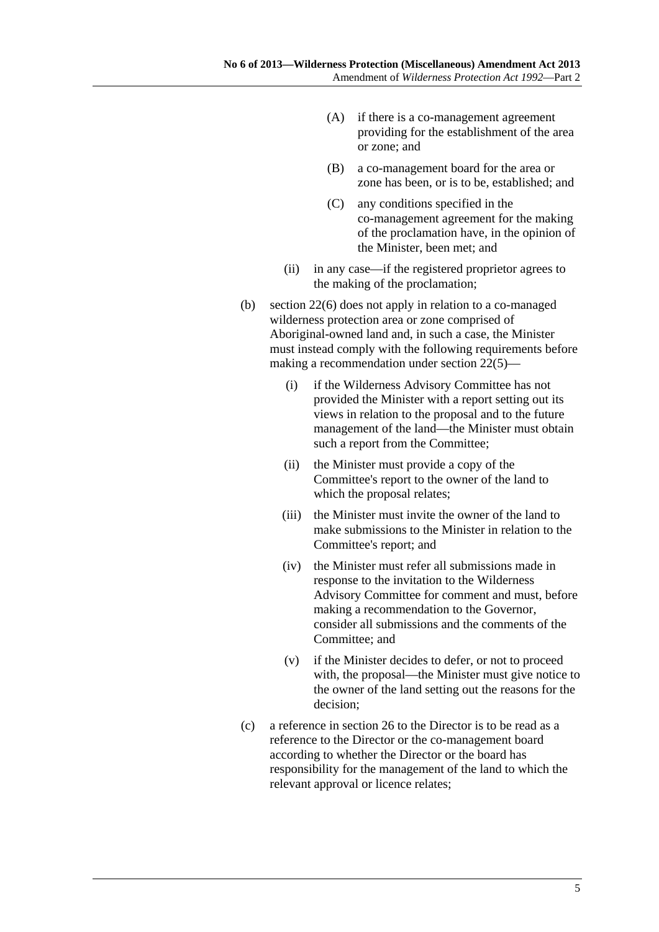- (A) if there is a co-management agreement providing for the establishment of the area or zone; and
- (B) a co-management board for the area or zone has been, or is to be, established; and
- (C) any conditions specified in the co-management agreement for the making of the proclamation have, in the opinion of the Minister, been met; and
- (ii) in any case—if the registered proprietor agrees to the making of the proclamation;
- (b) section 22(6) does not apply in relation to a co-managed wilderness protection area or zone comprised of Aboriginal-owned land and, in such a case, the Minister must instead comply with the following requirements before making a recommendation under section 22(5)—
	- (i) if the Wilderness Advisory Committee has not provided the Minister with a report setting out its views in relation to the proposal and to the future management of the land—the Minister must obtain such a report from the Committee;
	- (ii) the Minister must provide a copy of the Committee's report to the owner of the land to which the proposal relates;
	- (iii) the Minister must invite the owner of the land to make submissions to the Minister in relation to the Committee's report; and
	- (iv) the Minister must refer all submissions made in response to the invitation to the Wilderness Advisory Committee for comment and must, before making a recommendation to the Governor, consider all submissions and the comments of the Committee; and
	- (v) if the Minister decides to defer, or not to proceed with, the proposal—the Minister must give notice to the owner of the land setting out the reasons for the decision;
- (c) a reference in section 26 to the Director is to be read as a reference to the Director or the co-management board according to whether the Director or the board has responsibility for the management of the land to which the relevant approval or licence relates;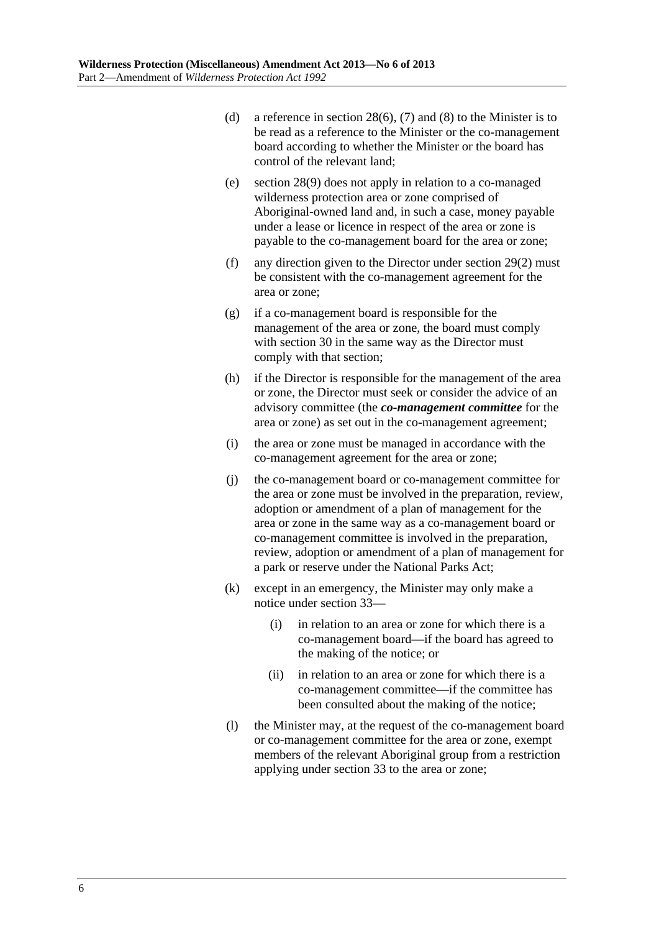- (d) a reference in section 28(6), (7) and (8) to the Minister is to be read as a reference to the Minister or the co-management board according to whether the Minister or the board has control of the relevant land;
- (e) section 28(9) does not apply in relation to a co-managed wilderness protection area or zone comprised of Aboriginal-owned land and, in such a case, money payable under a lease or licence in respect of the area or zone is payable to the co-management board for the area or zone;
- (f) any direction given to the Director under section 29(2) must be consistent with the co-management agreement for the area or zone;
- (g) if a co-management board is responsible for the management of the area or zone, the board must comply with section 30 in the same way as the Director must comply with that section;
- (h) if the Director is responsible for the management of the area or zone, the Director must seek or consider the advice of an advisory committee (the *co-management committee* for the area or zone) as set out in the co-management agreement;
- (i) the area or zone must be managed in accordance with the co-management agreement for the area or zone;
- (j) the co-management board or co-management committee for the area or zone must be involved in the preparation, review, adoption or amendment of a plan of management for the area or zone in the same way as a co-management board or co-management committee is involved in the preparation, review, adoption or amendment of a plan of management for a park or reserve under the National Parks Act;
- (k) except in an emergency, the Minister may only make a notice under section 33—
	- (i) in relation to an area or zone for which there is a co-management board—if the board has agreed to the making of the notice; or
	- (ii) in relation to an area or zone for which there is a co-management committee—if the committee has been consulted about the making of the notice;
- (l) the Minister may, at the request of the co-management board or co-management committee for the area or zone, exempt members of the relevant Aboriginal group from a restriction applying under section 33 to the area or zone;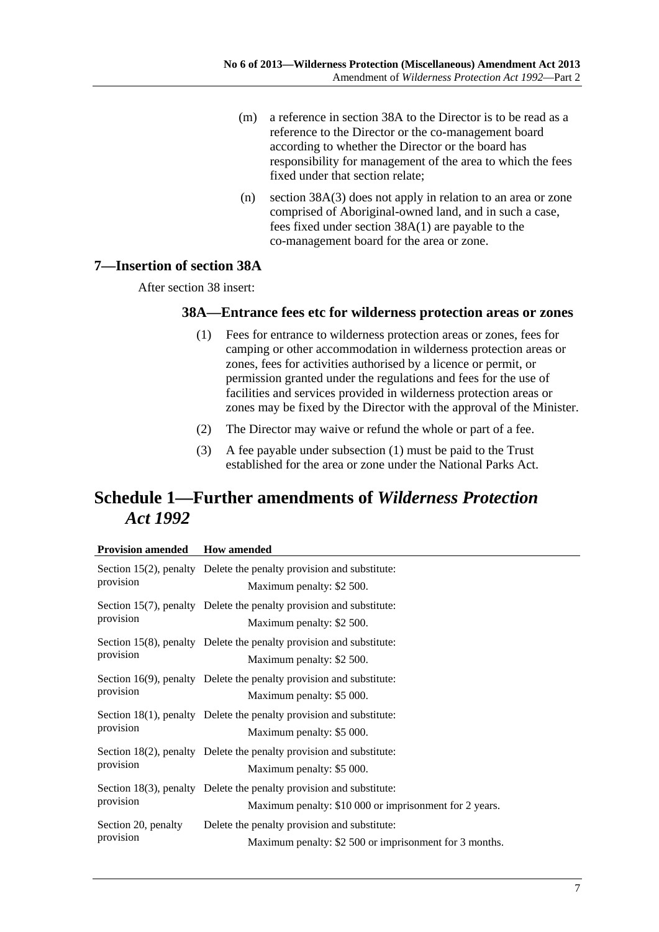- <span id="page-6-0"></span> (m) a reference in section 38A to the Director is to be read as a reference to the Director or the co-management board according to whether the Director or the board has responsibility for management of the area to which the fees fixed under that section relate;
- (n) section 38A(3) does not apply in relation to an area or zone comprised of Aboriginal-owned land, and in such a case, fees fixed under section 38A(1) are payable to the co-management board for the area or zone.

#### **7—Insertion of section 38A**

After section 38 insert:

#### **38A—Entrance fees etc for wilderness protection areas or zones**

- (1) Fees for entrance to wilderness protection areas or zones, fees for camping or other accommodation in wilderness protection areas or zones, fees for activities authorised by a licence or permit, or permission granted under the regulations and fees for the use of facilities and services provided in wilderness protection areas or zones may be fixed by the Director with the approval of the Minister.
- (2) The Director may waive or refund the whole or part of a fee.
- (3) A fee payable under [subsection \(1\)](#page-6-0) must be paid to the Trust established for the area or zone under the National Parks Act.

# **Schedule 1—Further amendments of** *Wilderness Protection Act 1992*

#### **Provision amended How amended**

| provision                        | Section 15(2), penalty Delete the penalty provision and substitute:<br>Maximum penalty: \$2 500.                              |
|----------------------------------|-------------------------------------------------------------------------------------------------------------------------------|
| provision                        | Section 15(7), penalty Delete the penalty provision and substitute:<br>Maximum penalty: \$2 500.                              |
| provision                        | Section 15(8), penalty Delete the penalty provision and substitute:<br>Maximum penalty: \$2 500.                              |
| provision                        | Section 16(9), penalty Delete the penalty provision and substitute:<br>Maximum penalty: \$5 000.                              |
| provision                        | Section 18(1), penalty Delete the penalty provision and substitute:<br>Maximum penalty: \$5 000.                              |
| provision                        | Section 18(2), penalty Delete the penalty provision and substitute:<br>Maximum penalty: \$5 000.                              |
| provision                        | Section 18(3), penalty Delete the penalty provision and substitute:<br>Maximum penalty: \$10 000 or imprisonment for 2 years. |
| Section 20, penalty<br>provision | Delete the penalty provision and substitute:<br>Maximum penalty: \$2 500 or imprisonment for 3 months.                        |